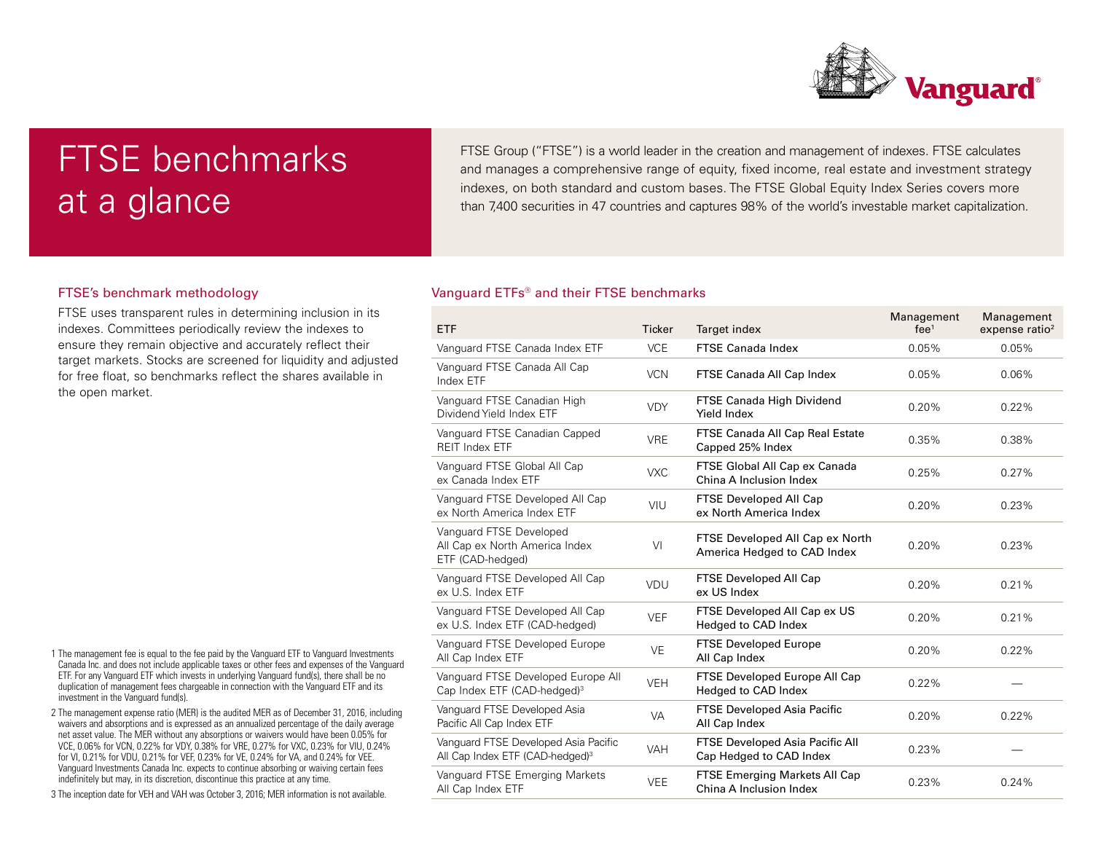

# FTSE benchmarks at a glance

FTSE Group ("FTSE") is a world leader in the creation and management of indexes. FTSE calculates and manages a comprehensive range of equity, fixed income, real estate and investment strategy indexes, on both standard and custom bases. The FTSE Global Equity Index Series covers more than 7,400 securities in 47 countries and captures 98% of the world's investable market capitalization.

## FTSE's benchmark methodology

FTSE uses transparent rules in determining inclusion in its indexes. Committees periodically review the indexes to ensure they remain objective and accurately reflect their target markets. Stocks are screened for liquidity and adjusted for free float, so benchmarks reflect the shares available in the open market.

- 1 The management fee is equal to the fee paid by the Vanguard ETF to Vanguard Investments Canada Inc. and does not include applicable taxes or other fees and expenses of the Vanguard ETF. For any Vanguard ETF which invests in underlying Vanguard fund(s), there shall be no duplication of management fees chargeable in connection with the Vanguard ETF and its investment in the Vanguard fund(s).
- 2 The management expense ratio (MER) is the audited MER as of December 31, 2016, including waivers and absorptions and is expressed as an annualized percentage of the daily average net asset value. The MER without any absorptions or waivers would have been 0.05% for VCE, 0.06% for VCN, 0.22% for VDY, 0.38% for VRE, 0.27% for VXC, 0.23% for VIU, 0.24% for VI, 0.21% for VDU, 0.21% for VEF, 0.23% for VE, 0.24% for VA, and 0.24% for VEE. Vanguard Investments Canada Inc. expects to continue absorbing or waiving certain fees indefinitely but may, in its discretion, discontinue this practice at any time.
- 3 The inception date for VEH and VAH was October 3, 2016; MER information is not available.

## Vanguard ETFs® and their FTSE benchmarks

| <b>ETF</b>                                                                          | <b>Ticker</b> | Target index                                                      | Management<br>fee <sup>1</sup> | Management<br>expense ratio <sup>2</sup> |
|-------------------------------------------------------------------------------------|---------------|-------------------------------------------------------------------|--------------------------------|------------------------------------------|
| Vanguard FTSE Canada Index ETF                                                      | <b>VCE</b>    | <b>FTSE Canada Index</b>                                          | 0.05%                          | 0.05%                                    |
| Vanguard FTSE Canada All Cap<br>Index ETF                                           | <b>VCN</b>    | FTSE Canada All Cap Index                                         | 0.05%                          | 0.06%                                    |
| Vanguard FTSE Canadian High<br>Dividend Yield Index ETF                             | <b>VDY</b>    | FTSE Canada High Dividend<br><b>Yield Index</b>                   | 0.20%                          | 0.22%                                    |
| Vanguard FTSE Canadian Capped<br><b>REIT Index ETF</b>                              | <b>VRE</b>    | FTSE Canada All Cap Real Estate<br>Capped 25% Index               | 0.35%                          | 0.38%                                    |
| Vanguard FTSE Global All Cap<br>ex Canada Index ETF                                 | <b>VXC</b>    | FTSE Global All Cap ex Canada<br>China A Inclusion Index          | 0.25%                          | 0.27%                                    |
| Vanguard FTSE Developed All Cap<br>ex North America Index ETF                       | VIU           | FTSE Developed All Cap<br>ex North America Index                  | 0.20%                          | 0.23%                                    |
| Vanguard FTSE Developed<br>All Cap ex North America Index<br>ETF (CAD-hedged)       | VI            | FTSE Developed All Cap ex North<br>America Hedged to CAD Index    | 0.20%                          | 0.23%                                    |
| Vanguard FTSE Developed All Cap<br>ex U.S. Index ETF                                | VDU           | FTSE Developed All Cap<br>ex US Index                             | 0.20%                          | 0.21%                                    |
| Vanguard FTSE Developed All Cap<br>ex U.S. Index ETF (CAD-hedged)                   | <b>VEF</b>    | FTSE Developed All Cap ex US<br>Hedged to CAD Index               | 0.20%                          | 0.21%                                    |
| Vanguard FTSE Developed Europe<br>All Cap Index ETF                                 | <b>VE</b>     | <b>FTSE Developed Europe</b><br>All Cap Index                     | 0.20%                          | 0.22%                                    |
| Vanguard FTSE Developed Europe All<br>Cap Index ETF (CAD-hedged) <sup>3</sup>       | <b>VEH</b>    | FTSE Developed Europe All Cap<br>Hedged to CAD Index              | 0.22%                          |                                          |
| Vanguard FTSE Developed Asia<br>Pacific All Cap Index ETF                           | <b>VA</b>     | <b>FTSE Developed Asia Pacific</b><br>All Cap Index               | 0.20%                          | 0.22%                                    |
| Vanguard FTSE Developed Asia Pacific<br>All Cap Index ETF (CAD-hedged) <sup>3</sup> | <b>VAH</b>    | <b>FTSE Developed Asia Pacific All</b><br>Cap Hedged to CAD Index | 0.23%                          |                                          |
| Vanguard FTSE Emerging Markets<br>All Cap Index ETF                                 | <b>VEE</b>    | <b>FTSE Emerging Markets All Cap</b><br>China A Inclusion Index   | 0.23%                          | 0.24%                                    |